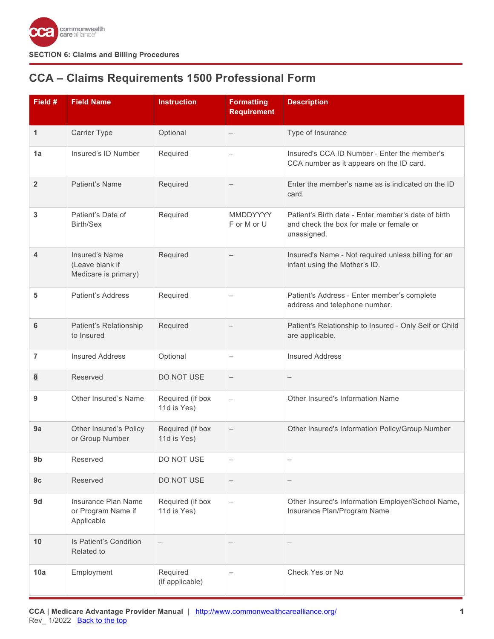

# <span id="page-0-0"></span>**CCA – Claims Requirements 1500 Professional Form**

| Field #                 | <b>Field Name</b>                                                | <b>Instruction</b>              | <b>Formatting</b><br><b>Requirement</b> | <b>Description</b>                                                                                            |
|-------------------------|------------------------------------------------------------------|---------------------------------|-----------------------------------------|---------------------------------------------------------------------------------------------------------------|
| 1                       | <b>Carrier Type</b>                                              | Optional                        |                                         | Type of Insurance                                                                                             |
| 1a                      | Insured's ID Number                                              | Required                        | $\overline{\phantom{0}}$                | Insured's CCA ID Number - Enter the member's<br>CCA number as it appears on the ID card.                      |
| $\overline{2}$          | Patient's Name                                                   | Required                        | $\qquad \qquad -$                       | Enter the member's name as is indicated on the ID<br>card.                                                    |
| 3                       | Patient's Date of<br>Birth/Sex                                   | Required                        | <b>MMDDYYYY</b><br>F or M or U          | Patient's Birth date - Enter member's date of birth<br>and check the box for male or female or<br>unassigned. |
| $\overline{\mathbf{4}}$ | <b>Insured's Name</b><br>(Leave blank if<br>Medicare is primary) | Required                        | $\qquad \qquad -$                       | Insured's Name - Not required unless billing for an<br>infant using the Mother's ID.                          |
| 5                       | Patient's Address                                                | Required                        | $\qquad \qquad -$                       | Patient's Address - Enter member's complete<br>address and telephone number.                                  |
| 6                       | Patient's Relationship<br>to Insured                             | Required                        |                                         | Patient's Relationship to Insured - Only Self or Child<br>are applicable.                                     |
| $\overline{7}$          | <b>Insured Address</b>                                           | Optional                        | $\qquad \qquad -$                       | <b>Insured Address</b>                                                                                        |
| 8                       | Reserved                                                         | DO NOT USE                      | $\overline{\phantom{0}}$                | $\qquad \qquad -$                                                                                             |
| 9                       | Other Insured's Name                                             | Required (if box<br>11d is Yes) | $\qquad \qquad -$                       | Other Insured's Information Name                                                                              |
| 9a                      | Other Insured's Policy<br>or Group Number                        | Required (if box<br>11d is Yes) | $\qquad \qquad -$                       | Other Insured's Information Policy/Group Number                                                               |
| 9b                      | Reserved                                                         | DO NOT USE                      | $\qquad \qquad -$                       | $\overline{\phantom{0}}$                                                                                      |
| 9c                      | Reserved                                                         | DO NOT USE                      | $\qquad \qquad -$                       | $\qquad \qquad -$                                                                                             |
| 9d                      | Insurance Plan Name<br>or Program Name if<br>Applicable          | Required (if box<br>11d is Yes) | $\qquad \qquad -$                       | Other Insured's Information Employer/School Name,<br>Insurance Plan/Program Name                              |
| 10                      | Is Patient's Condition<br>Related to                             | $\overline{\phantom{m}}$        |                                         | $\qquad \qquad -$                                                                                             |
| 10a                     | Employment                                                       | Required<br>(if applicable)     | $\overline{\phantom{0}}$                | Check Yes or No                                                                                               |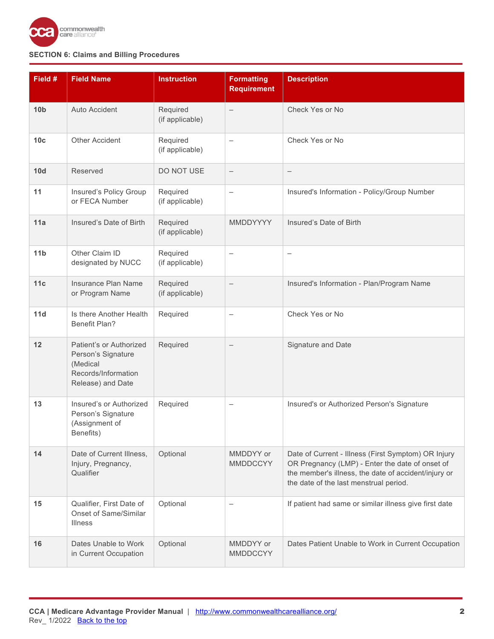

| Field #         | <b>Field Name</b>                                                                                     | <b>Instruction</b>          | <b>Formatting</b><br><b>Requirement</b> | <b>Description</b>                                                                                                                                                                                       |
|-----------------|-------------------------------------------------------------------------------------------------------|-----------------------------|-----------------------------------------|----------------------------------------------------------------------------------------------------------------------------------------------------------------------------------------------------------|
| 10 <sub>b</sub> | <b>Auto Accident</b>                                                                                  | Required<br>(if applicable) | $\overline{\phantom{m}}$                | Check Yes or No                                                                                                                                                                                          |
| 10 <sub>c</sub> | <b>Other Accident</b>                                                                                 | Required<br>(if applicable) | $\qquad \qquad -$                       | Check Yes or No                                                                                                                                                                                          |
| 10d             | Reserved                                                                                              | DO NOT USE                  | $\overline{\phantom{m}}$                | $\qquad \qquad -$                                                                                                                                                                                        |
| 11              | Insured's Policy Group<br>or FECA Number                                                              | Required<br>(if applicable) | $\qquad \qquad -$                       | Insured's Information - Policy/Group Number                                                                                                                                                              |
| 11a             | Insured's Date of Birth                                                                               | Required<br>(if applicable) | MMDDYYYY                                | Insured's Date of Birth                                                                                                                                                                                  |
| 11 <sub>b</sub> | Other Claim ID<br>designated by NUCC                                                                  | Required<br>(if applicable) | $\overline{\phantom{0}}$                | $\overline{\phantom{0}}$                                                                                                                                                                                 |
| 11c             | Insurance Plan Name<br>or Program Name                                                                | Required<br>(if applicable) |                                         | Insured's Information - Plan/Program Name                                                                                                                                                                |
| 11d             | Is there Another Health<br><b>Benefit Plan?</b>                                                       | Required                    |                                         | Check Yes or No                                                                                                                                                                                          |
| 12              | Patient's or Authorized<br>Person's Signature<br>(Medical<br>Records/Information<br>Release) and Date | Required                    | $\overline{\phantom{m}}$                | Signature and Date                                                                                                                                                                                       |
| 13              | Insured's or Authorized<br>Person's Signature<br>(Assignment of<br>Benefits)                          | Required                    | $\qquad \qquad -$                       | Insured's or Authorized Person's Signature                                                                                                                                                               |
| 14              | Date of Current Illness,<br>Injury, Pregnancy,<br>Qualifier                                           | Optional                    | MMDDYY or<br><b>MMDDCCYY</b>            | Date of Current - Illness (First Symptom) OR Injury<br>OR Pregnancy (LMP) - Enter the date of onset of<br>the member's illness, the date of accident/injury or<br>the date of the last menstrual period. |
| 15              | Qualifier, First Date of<br><b>Onset of Same/Similar</b><br><b>Illness</b>                            | Optional                    |                                         | If patient had same or similar illness give first date                                                                                                                                                   |
| 16              | Dates Unable to Work<br>in Current Occupation                                                         | Optional                    | MMDDYY or<br><b>MMDDCCYY</b>            | Dates Patient Unable to Work in Current Occupation                                                                                                                                                       |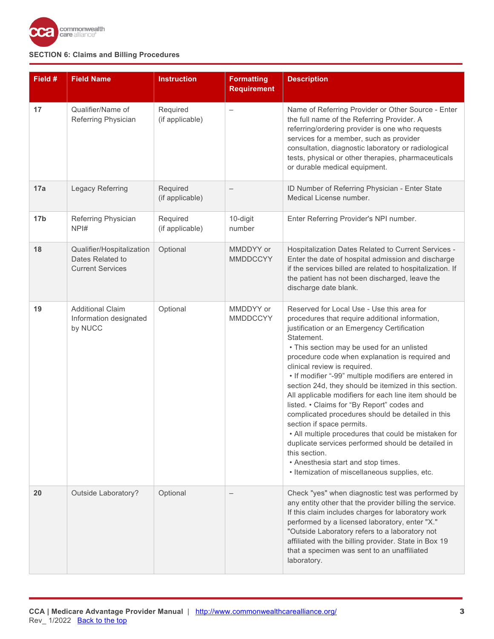

| Field #         | <b>Field Name</b>                                                        | <b>Instruction</b>          | <b>Formatting</b><br><b>Requirement</b> | <b>Description</b>                                                                                                                                                                                                                                                                                                                                                                                                                                                                                                                                                                                                                                                                                                                                                                                                           |
|-----------------|--------------------------------------------------------------------------|-----------------------------|-----------------------------------------|------------------------------------------------------------------------------------------------------------------------------------------------------------------------------------------------------------------------------------------------------------------------------------------------------------------------------------------------------------------------------------------------------------------------------------------------------------------------------------------------------------------------------------------------------------------------------------------------------------------------------------------------------------------------------------------------------------------------------------------------------------------------------------------------------------------------------|
| 17              | Qualifier/Name of<br>Referring Physician                                 | Required<br>(if applicable) |                                         | Name of Referring Provider or Other Source - Enter<br>the full name of the Referring Provider. A<br>referring/ordering provider is one who requests<br>services for a member, such as provider<br>consultation, diagnostic laboratory or radiological<br>tests, physical or other therapies, pharmaceuticals<br>or durable medical equipment.                                                                                                                                                                                                                                                                                                                                                                                                                                                                                |
| 17a             | Legacy Referring                                                         | Required<br>(if applicable) | $\overline{\phantom{m}}$                | ID Number of Referring Physician - Enter State<br>Medical License number.                                                                                                                                                                                                                                                                                                                                                                                                                                                                                                                                                                                                                                                                                                                                                    |
| 17 <sub>b</sub> | Referring Physician<br>NPI#                                              | Required<br>(if applicable) | 10-digit<br>number                      | Enter Referring Provider's NPI number.                                                                                                                                                                                                                                                                                                                                                                                                                                                                                                                                                                                                                                                                                                                                                                                       |
| 18              | Qualifier/Hospitalization<br>Dates Related to<br><b>Current Services</b> | Optional                    | MMDDYY or<br><b>MMDDCCYY</b>            | Hospitalization Dates Related to Current Services -<br>Enter the date of hospital admission and discharge<br>if the services billed are related to hospitalization. If<br>the patient has not been discharged, leave the<br>discharge date blank.                                                                                                                                                                                                                                                                                                                                                                                                                                                                                                                                                                            |
| 19              | <b>Additional Claim</b><br>Information designated<br>by NUCC             | Optional                    | MMDDYY or<br><b>MMDDCCYY</b>            | Reserved for Local Use - Use this area for<br>procedures that require additional information,<br>justification or an Emergency Certification<br>Statement.<br>• This section may be used for an unlisted<br>procedure code when explanation is required and<br>clinical review is required.<br>• If modifier "-99" multiple modifiers are entered in<br>section 24d, they should be itemized in this section.<br>All applicable modifiers for each line item should be<br>listed. • Claims for "By Report" codes and<br>complicated procedures should be detailed in this<br>section if space permits.<br>• All multiple procedures that could be mistaken for<br>duplicate services performed should be detailed in<br>this section.<br>• Anesthesia start and stop times.<br>• Itemization of miscellaneous supplies, etc. |
| 20              | Outside Laboratory?                                                      | Optional                    |                                         | Check "yes" when diagnostic test was performed by<br>any entity other that the provider billing the service.<br>If this claim includes charges for laboratory work<br>performed by a licensed laboratory, enter "X."<br>"Outside Laboratory refers to a laboratory not<br>affiliated with the billing provider. State in Box 19<br>that a specimen was sent to an unaffiliated<br>laboratory.                                                                                                                                                                                                                                                                                                                                                                                                                                |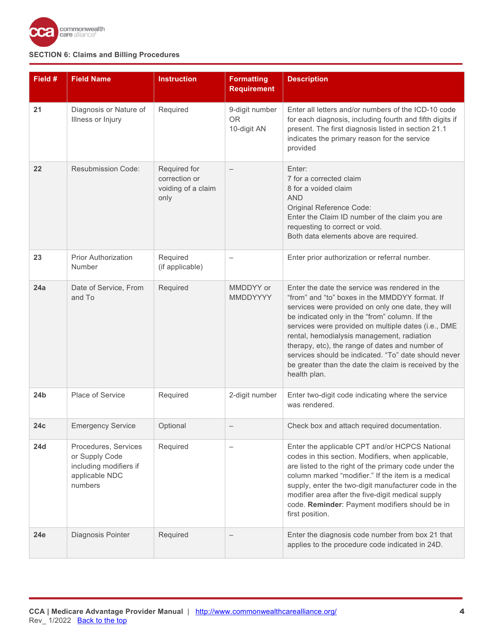

| Field #         | <b>Field Name</b>                                                                             | Instruction                                                 | <b>Formatting</b><br><b>Requirement</b>    | <b>Description</b>                                                                                                                                                                                                                                                                                                                                                                                                                                                                                |
|-----------------|-----------------------------------------------------------------------------------------------|-------------------------------------------------------------|--------------------------------------------|---------------------------------------------------------------------------------------------------------------------------------------------------------------------------------------------------------------------------------------------------------------------------------------------------------------------------------------------------------------------------------------------------------------------------------------------------------------------------------------------------|
| 21              | Diagnosis or Nature of<br>Illness or Injury                                                   | Required                                                    | 9-digit number<br><b>OR</b><br>10-digit AN | Enter all letters and/or numbers of the ICD-10 code<br>for each diagnosis, including fourth and fifth digits if<br>present. The first diagnosis listed in section 21.1<br>indicates the primary reason for the service<br>provided                                                                                                                                                                                                                                                                |
| 22              | <b>Resubmission Code:</b>                                                                     | Required for<br>correction or<br>voiding of a claim<br>only | $\overline{\phantom{0}}$                   | Enter:<br>7 for a corrected claim<br>8 for a voided claim<br><b>AND</b><br>Original Reference Code:<br>Enter the Claim ID number of the claim you are<br>requesting to correct or void.<br>Both data elements above are required.                                                                                                                                                                                                                                                                 |
| 23              | <b>Prior Authorization</b><br>Number                                                          | Required<br>(if applicable)                                 | $\overline{\phantom{0}}$                   | Enter prior authorization or referral number.                                                                                                                                                                                                                                                                                                                                                                                                                                                     |
| 24a             | Date of Service, From<br>and To                                                               | Required                                                    | MMDDYY or<br><b>MMDDYYYY</b>               | Enter the date the service was rendered in the<br>"from" and "to" boxes in the MMDDYY format. If<br>services were provided on only one date, they will<br>be indicated only in the "from" column. If the<br>services were provided on multiple dates (i.e., DME<br>rental, hemodialysis management, radiation<br>therapy, etc), the range of dates and number of<br>services should be indicated. "To" date should never<br>be greater than the date the claim is received by the<br>health plan. |
| 24 <sub>b</sub> | Place of Service                                                                              | Required                                                    | 2-digit number                             | Enter two-digit code indicating where the service<br>was rendered.                                                                                                                                                                                                                                                                                                                                                                                                                                |
| 24c             | <b>Emergency Service</b>                                                                      | Optional                                                    |                                            | Check box and attach required documentation.                                                                                                                                                                                                                                                                                                                                                                                                                                                      |
| <b>24d</b>      | Procedures, Services<br>or Supply Code<br>including modifiers if<br>applicable NDC<br>numbers | Required                                                    |                                            | Enter the applicable CPT and/or HCPCS National<br>codes in this section. Modifiers, when applicable,<br>are listed to the right of the primary code under the<br>column marked "modifier." If the item is a medical<br>supply, enter the two-digit manufacturer code in the<br>modifier area after the five-digit medical supply<br>code. Reminder: Payment modifiers should be in<br>first position.                                                                                             |
| 24e             | Diagnosis Pointer                                                                             | Required                                                    |                                            | Enter the diagnosis code number from box 21 that<br>applies to the procedure code indicated in 24D.                                                                                                                                                                                                                                                                                                                                                                                               |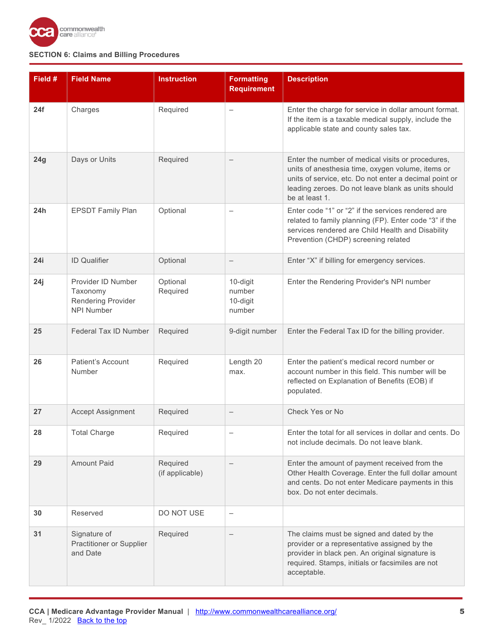

| Field # | <b>Field Name</b>                                                         | <b>Instruction</b>          | <b>Formatting</b><br><b>Requirement</b>  | <b>Description</b>                                                                                                                                                                                                                       |
|---------|---------------------------------------------------------------------------|-----------------------------|------------------------------------------|------------------------------------------------------------------------------------------------------------------------------------------------------------------------------------------------------------------------------------------|
| 24f     | Charges                                                                   | Required                    | $\overline{\phantom{0}}$                 | Enter the charge for service in dollar amount format.<br>If the item is a taxable medical supply, include the<br>applicable state and county sales tax.                                                                                  |
| 24g     | Days or Units                                                             | Required                    |                                          | Enter the number of medical visits or procedures,<br>units of anesthesia time, oxygen volume, items or<br>units of service, etc. Do not enter a decimal point or<br>leading zeroes. Do not leave blank as units should<br>be at least 1. |
| 24h     | <b>EPSDT Family Plan</b>                                                  | Optional                    |                                          | Enter code "1" or "2" if the services rendered are<br>related to family planning (FP). Enter code "3" if the<br>services rendered are Child Health and Disability<br>Prevention (CHDP) screening related                                 |
| 24i     | <b>ID Qualifier</b>                                                       | Optional                    |                                          | Enter "X" if billing for emergency services.                                                                                                                                                                                             |
| 24j     | Provider ID Number<br>Taxonomy<br>Rendering Provider<br><b>NPI Number</b> | Optional<br>Required        | 10-digit<br>number<br>10-digit<br>number | Enter the Rendering Provider's NPI number                                                                                                                                                                                                |
| 25      | Federal Tax ID Number                                                     | Required                    | 9-digit number                           | Enter the Federal Tax ID for the billing provider.                                                                                                                                                                                       |
| 26      | <b>Patient's Account</b><br>Number                                        | Required                    | Length 20<br>max.                        | Enter the patient's medical record number or<br>account number in this field. This number will be<br>reflected on Explanation of Benefits (EOB) if<br>populated.                                                                         |
| 27      | <b>Accept Assignment</b>                                                  | Required                    | $\qquad \qquad -$                        | Check Yes or No                                                                                                                                                                                                                          |
| 28      | <b>Total Charge</b>                                                       | Required                    |                                          | Enter the total for all services in dollar and cents. Do<br>not include decimals. Do not leave blank.                                                                                                                                    |
| 29      | <b>Amount Paid</b>                                                        | Required<br>(if applicable) |                                          | Enter the amount of payment received from the<br>Other Health Coverage. Enter the full dollar amount<br>and cents. Do not enter Medicare payments in this<br>box. Do not enter decimals.                                                 |
| 30      | Reserved                                                                  | DO NOT USE                  | $\qquad \qquad -$                        |                                                                                                                                                                                                                                          |
| 31      | Signature of<br>Practitioner or Supplier<br>and Date                      | Required                    |                                          | The claims must be signed and dated by the<br>provider or a representative assigned by the<br>provider in black pen. An original signature is<br>required. Stamps, initials or facsimiles are not<br>acceptable.                         |